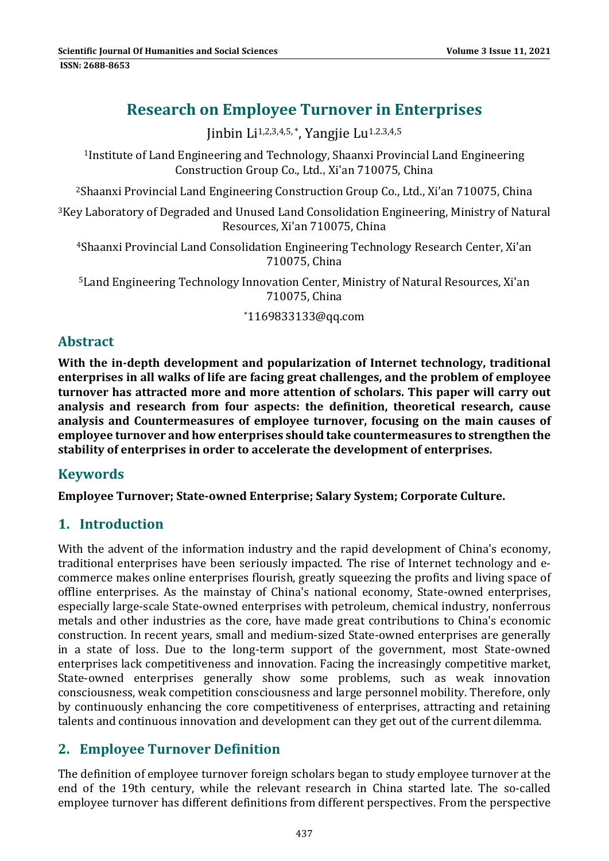# **Research on Employee Turnover in Enterprises**

Jinbin  $Li^{1,2,3,4,5,*}$ . Yangjie Lu<sup>1.2.3,4,5</sup>

<sup>1</sup>Institute of Land Engineering and Technology, Shaanxi Provincial Land Engineering Construction Group Co., Ltd., Xi'an 710075, China

 $2$ Shaanxi Provincial Land Engineering Construction Group Co., Ltd., Xi'an 710075, China

<sup>3</sup>Key Laboratory of Degraded and Unused Land Consolidation Engineering, Ministry of Natural Resources, Xi'an 710075, China 

<sup>4</sup>Shaanxi Provincial Land Consolidation Engineering Technology Research Center, Xi'an 710075, China 

<sup>5</sup> Land Engineering Technology Innovation Center, Ministry of Natural Resources, Xi'an 710075, China 

\*1169833133@qq.com 

#### **Abstract**

**With the in‐depth development and popularization of Internet technology, traditional enterprises in all walks of life are facing great challenges, and the problem of employee turnover has attracted more and more attention of scholars. This paper will carry out analysis and research from four aspects: the definition, theoretical research, cause analysis and Countermeasures of employee turnover, focusing on the main causes of employee turnover and how enterprises should take countermeasures to strengthen the stability of enterprises in order to accelerate the development of enterprises.**

# **Keywords**

**Employee Turnover; State‐owned Enterprise; Salary System; Corporate Culture.**

# **1. Introduction**

With the advent of the information industry and the rapid development of China's economy, traditional enterprises have been seriously impacted. The rise of Internet technology and ecommerce makes online enterprises flourish, greatly squeezing the profits and living space of offline enterprises. As the mainstay of China's national economy, State-owned enterprises, especially large-scale State-owned enterprises with petroleum, chemical industry, nonferrous metals and other industries as the core, have made great contributions to China's economic construction. In recent years, small and medium-sized State-owned enterprises are generally in a state of loss. Due to the long-term support of the government, most State-owned enterprises lack competitiveness and innovation. Facing the increasingly competitive market, State-owned enterprises generally show some problems, such as weak innovation consciousness, weak competition consciousness and large personnel mobility. Therefore, only by continuously enhancing the core competitiveness of enterprises, attracting and retaining talents and continuous innovation and development can they get out of the current dilemma.

# **2. Employee Turnover Definition**

The definition of employee turnover foreign scholars began to study employee turnover at the end of the 19th century, while the relevant research in China started late. The so-called employee turnover has different definitions from different perspectives. From the perspective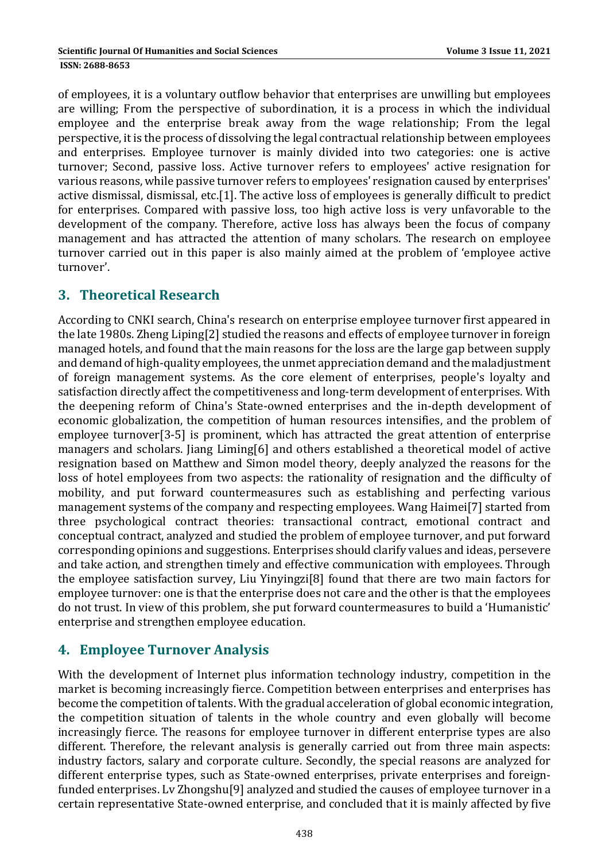of employees, it is a voluntary outflow behavior that enterprises are unwilling but employees are willing; From the perspective of subordination, it is a process in which the individual employee and the enterprise break away from the wage relationship; From the legal perspective, it is the process of dissolving the legal contractual relationship between employees and enterprises. Employee turnover is mainly divided into two categories: one is active turnover; Second, passive loss. Active turnover refers to employees' active resignation for various reasons, while passive turnover refers to employees' resignation caused by enterprises' active dismissal, dismissal, etc.[1]. The active loss of employees is generally difficult to predict for enterprises. Compared with passive loss, too high active loss is very unfavorable to the development of the company. Therefore, active loss has always been the focus of company management and has attracted the attention of many scholars. The research on employee turnover carried out in this paper is also mainly aimed at the problem of 'employee active turnover'. 

#### **3. Theoretical Research**

According to CNKI search, China's research on enterprise employee turnover first appeared in the late 1980s. Zheng Liping[2] studied the reasons and effects of employee turnover in foreign managed hotels, and found that the main reasons for the loss are the large gap between supply and demand of high-quality employees, the unmet appreciation demand and the maladjustment of foreign management systems. As the core element of enterprises, people's loyalty and satisfaction directly affect the competitiveness and long-term development of enterprises. With the deepening reform of China's State-owned enterprises and the in-depth development of economic globalization, the competition of human resources intensifies, and the problem of employee turnover [3-5] is prominent, which has attracted the great attention of enterprise managers and scholars. Jiang Liming[6] and others established a theoretical model of active resignation based on Matthew and Simon model theory, deeply analyzed the reasons for the loss of hotel employees from two aspects: the rationality of resignation and the difficulty of mobility, and put forward countermeasures such as establishing and perfecting various management systems of the company and respecting employees. Wang Haimei<sup>[7]</sup> started from three psychological contract theories: transactional contract, emotional contract and conceptual contract, analyzed and studied the problem of employee turnover, and put forward corresponding opinions and suggestions. Enterprises should clarify values and ideas, persevere and take action, and strengthen timely and effective communication with employees. Through the employee satisfaction survey, Liu Yinyingzi<sup>[8]</sup> found that there are two main factors for employee turnover: one is that the enterprise does not care and the other is that the employees do not trust. In view of this problem, she put forward countermeasures to build a 'Humanistic' enterprise and strengthen employee education.

# **4. Employee Turnover Analysis**

With the development of Internet plus information technology industry, competition in the market is becoming increasingly fierce. Competition between enterprises and enterprises has become the competition of talents. With the gradual acceleration of global economic integration, the competition situation of talents in the whole country and even globally will become increasingly fierce. The reasons for employee turnover in different enterprise types are also different. Therefore, the relevant analysis is generally carried out from three main aspects: industry factors, salary and corporate culture. Secondly, the special reasons are analyzed for different enterprise types, such as State-owned enterprises, private enterprises and foreignfunded enterprises. Ly Zhongshu<sup>[9]</sup> analyzed and studied the causes of employee turnover in a certain representative State-owned enterprise, and concluded that it is mainly affected by five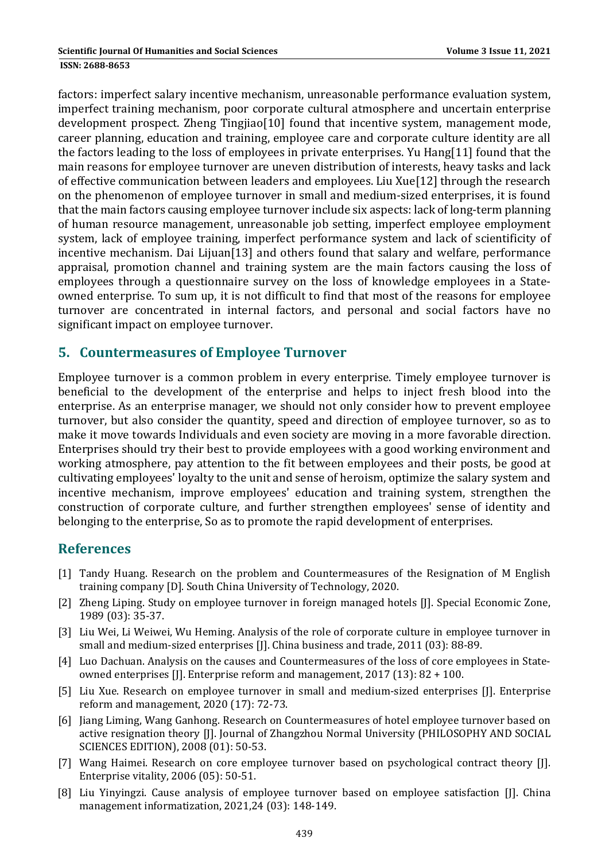factors: imperfect salary incentive mechanism, unreasonable performance evaluation system, imperfect training mechanism, poor corporate cultural atmosphere and uncertain enterprise development prospect. Zheng Tingjiao[10] found that incentive system, management mode, career planning, education and training, employee care and corporate culture identity are all the factors leading to the loss of employees in private enterprises. Yu Hang[11] found that the main reasons for employee turnover are uneven distribution of interests, heavy tasks and lack of effective communication between leaders and employees. Liu Xue[12] through the research on the phenomenon of employee turnover in small and medium-sized enterprises, it is found that the main factors causing employee turnover include six aspects: lack of long-term planning of human resource management, unreasonable job setting, imperfect employee employment system, lack of employee training, imperfect performance system and lack of scientificity of incentive mechanism. Dai Lijuan[13] and others found that salary and welfare, performance appraisal, promotion channel and training system are the main factors causing the loss of employees through a questionnaire survey on the loss of knowledge employees in a Stateowned enterprise. To sum up, it is not difficult to find that most of the reasons for employee turnover are concentrated in internal factors, and personal and social factors have no significant impact on employee turnover.

#### **5. Countermeasures of Employee Turnover**

Employee turnover is a common problem in every enterprise. Timely employee turnover is beneficial to the development of the enterprise and helps to inject fresh blood into the enterprise. As an enterprise manager, we should not only consider how to prevent employee turnover, but also consider the quantity, speed and direction of employee turnover, so as to make it move towards Individuals and even society are moving in a more favorable direction. Enterprises should try their best to provide employees with a good working environment and working atmosphere, pay attention to the fit between employees and their posts, be good at cultivating employees' loyalty to the unit and sense of heroism, optimize the salary system and incentive mechanism, improve employees' education and training system, strengthen the construction of corporate culture, and further strengthen employees' sense of identity and belonging to the enterprise, So as to promote the rapid development of enterprises.

#### **References**

- [1] Tandy Huang. Research on the problem and Countermeasures of the Resignation of M English training company [D]. South China University of Technology, 2020.
- [2] Zheng Liping. Study on employee turnover in foreign managed hotels [J]. Special Economic Zone, 1989 (03): 35‐37.
- [3] Liu Wei, Li Weiwei, Wu Heming. Analysis of the role of corporate culture in employee turnover in small and medium-sized enterprises [J]. China business and trade, 2011 (03): 88-89.
- [4] Luo Dachuan. Analysis on the causes and Countermeasures of the loss of core employees in Stateowned enterprises [J]. Enterprise reform and management,  $2017$  (13):  $82 + 100$ .
- [5] Liu Xue. Research on employee turnover in small and medium‐sized enterprises [J]. Enterprise reform and management, 2020 (17): 72-73.
- [6] Jiang Liming, Wang Ganhong. Research on Countermeasures of hotel employee turnover based on active resignation theory [J]. Journal of Zhangzhou Normal University (PHILOSOPHY AND SOCIAL SCIENCES EDITION), 2008 (01): 50-53.
- [7] Wang Haimei. Research on core employee turnover based on psychological contract theory [J]. Enterprise vitality,  $2006(05)$ : 50-51.
- [8] Liu Yinyingzi. Cause analysis of employee turnover based on employee satisfaction [J]. China management informatization, 2021,24 (03): 148-149.